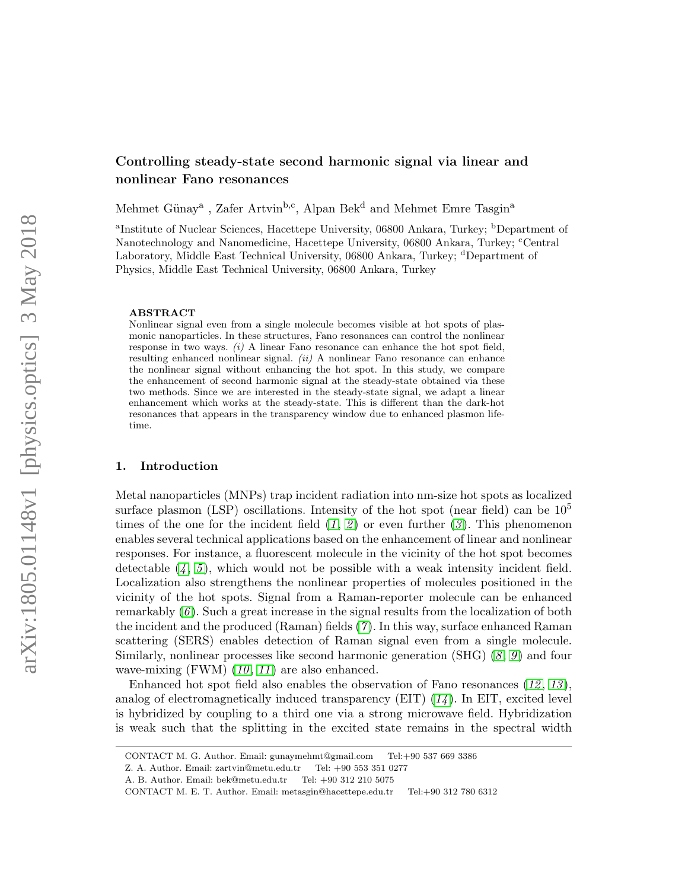# Controlling steady-state second harmonic signal via linear and nonlinear Fano resonances

Mehmet Günay<sup>a</sup>, Zafer Artvin<sup>b,c</sup>, Alpan Bek<sup>d</sup> and Mehmet Emre Tasgin<sup>a</sup>

<sup>a</sup>Institute of Nuclear Sciences, Hacettepe University, 06800 Ankara, Turkey; <sup>b</sup>Department of Nanotechnology and Nanomedicine, Hacettepe University, 06800 Ankara, Turkey; <sup>c</sup>Central Laboratory, Middle East Technical University, 06800 Ankara, Turkey; <sup>d</sup>Department of Physics, Middle East Technical University, 06800 Ankara, Turkey

#### ABSTRACT

Nonlinear signal even from a single molecule becomes visible at hot spots of plasmonic nanoparticles. In these structures, Fano resonances can control the nonlinear response in two ways.  $(i)$  A linear Fano resonance can enhance the hot spot field, resulting enhanced nonlinear signal.  $(ii)$  A nonlinear Fano resonance can enhance the nonlinear signal without enhancing the hot spot. In this study, we compare the enhancement of second harmonic signal at the steady-state obtained via these two methods. Since we are interested in the steady-state signal, we adapt a linear enhancement which works at the steady-state. This is different than the dark-hot resonances that appears in the transparency window due to enhanced plasmon lifetime.

### 1. Introduction

Metal nanoparticles (MNPs) trap incident radiation into nm-size hot spots as localized surface plasmon (LSP) oscillations. Intensity of the hot spot (near field) can be  $10^5$ times of the one for the incident field  $(1, 2)$  $(1, 2)$  $(1, 2)$  $(1, 2)$  $(1, 2)$  or even further  $(3)$  $(3)$  $(3)$ . This phenomenon enables several technical applications based on the enhancement of linear and nonlinear responses. For instance, a fluorescent molecule in the vicinity of the hot spot becomes detectable  $(4, 5)$  $(4, 5)$  $(4, 5)$  $(4, 5)$  $(4, 5)$ , which would not be possible with a weak intensity incident field. Localization also strengthens the nonlinear properties of molecules positioned in the vicinity of the hot spots. Signal from a Raman-reporter molecule can be enhanced remarkably  $(6)$  $(6)$  $(6)$ . Such a great increase in the signal results from the localization of both the incident and the produced (Raman) fields ([7](#page-8-6) ). In this way, surface enhanced Raman scattering (SERS) enables detection of Raman signal even from a single molecule. Similarly, nonlinear processes like second harmonic generation  $(SHG)$  ([8](#page-8-7), [9](#page-8-8)) and four wave-mixing (FWM)  $(10, 11)$  $(10, 11)$  $(10, 11)$  $(10, 11)$  $(10, 11)$  are also enhanced.

Enhanced hot spot field also enables the observation of Fano resonances  $(12, 13)$  $(12, 13)$  $(12, 13)$  $(12, 13)$  $(12, 13)$ , analog of electromagnetically induced transparency  $(EIT)$  ( $14$ ). In EIT, excited level is hybridized by coupling to a third one via a strong microwave field. Hybridization is weak such that the splitting in the excited state remains in the spectral width

CONTACT M. G. Author. Email: gunaymehmt@gmail.com Tel:+90 537 669 3386

Z. A. Author. Email: zartvin@metu.edu.tr Tel: +90 553 351 0277

A. B. Author. Email: bek@metu.edu.tr Tel: +90 312 210 5075

CONTACT M. E. T. Author. Email: metasgin@hacettepe.edu.tr Tel:+90 312 780 6312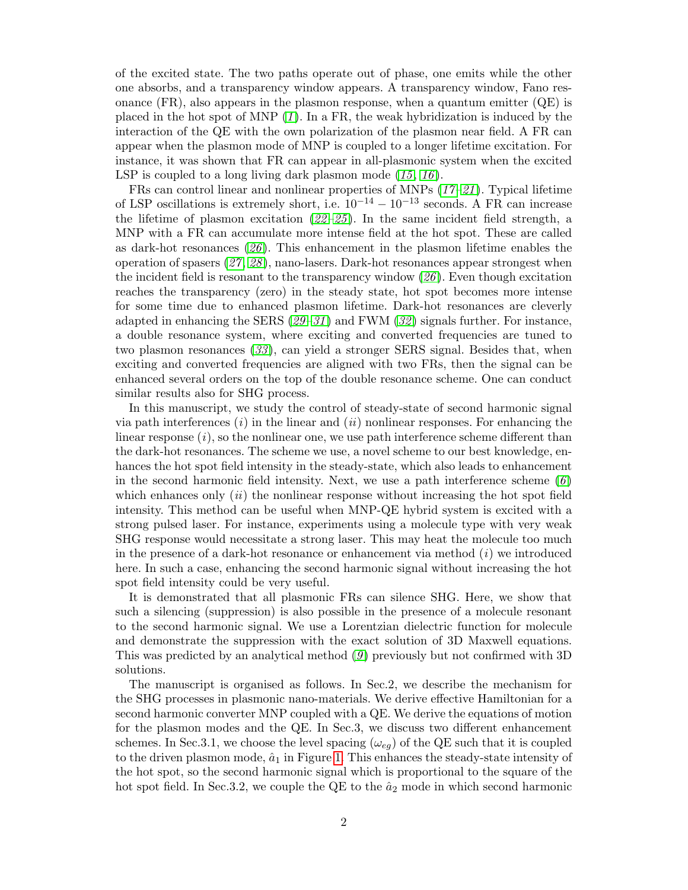of the excited state. The two paths operate out of phase, one emits while the other one absorbs, and a transparency window appears. A transparency window, Fano resonance  $(FR)$ , also appears in the plasmon response, when a quantum emitter  $(QE)$  is placed in the hot spot of MNP  $(1)$  $(1)$  $(1)$ . In a FR, the weak hybridization is induced by the interaction of the QE with the own polarization of the plasmon near field. A FR can appear when the plasmon mode of MNP is coupled to a longer lifetime excitation. For instance, it was shown that FR can appear in all-plasmonic system when the excited LSP is coupled to a long living dark plasmon mode  $(15, 16)$  $(15, 16)$  $(15, 16)$  $(15, 16)$  $(15, 16)$ .

FRs can control linear and nonlinear properties of MNPs  $(17-21)$  $(17-21)$  $(17-21)$  $(17-21)$  $(17-21)$ . Typical lifetime of LSP oscillations is extremely short, i.e.  $10^{-14} - 10^{-13}$  seconds. A FR can increase the lifetime of plasmon excitation  $(22-25)$  $(22-25)$  $(22-25)$  $(22-25)$  $(22-25)$ . In the same incident field strength, a MNP with a FR can accumulate more intense field at the hot spot. These are called as dark-hot resonances  $(26)$  $(26)$  $(26)$ . This enhancement in the plasmon lifetime enables the operation of spasers ([27](#page-9-4) , [28](#page-9-5) ), nano-lasers. Dark-hot resonances appear strongest when the incident field is resonant to the transparency window  $(26)$  $(26)$  $(26)$ . Even though excitation reaches the transparency (zero) in the steady state, hot spot becomes more intense for some time due to enhanced plasmon lifetime. Dark-hot resonances are cleverly adapted in enhancing the SERS ( $29-31$  $29-31$  $29-31$ ) and FWM ( $32$ ) signals further. For instance, a double resonance system, where exciting and converted frequencies are tuned to two plasmon resonances  $(33)$  $(33)$  $(33)$ , can yield a stronger SERS signal. Besides that, when exciting and converted frequencies are aligned with two FRs, then the signal can be enhanced several orders on the top of the double resonance scheme. One can conduct similar results also for SHG process.

In this manuscript, we study the control of steady-state of second harmonic signal via path interferences  $(i)$  in the linear and  $(ii)$  nonlinear responses. For enhancing the linear response  $(i)$ , so the nonlinear one, we use path interference scheme different than the dark-hot resonances. The scheme we use, a novel scheme to our best knowledge, enhances the hot spot field intensity in the steady-state, which also leads to enhancement in the second harmonic field intensity. Next, we use a path interference scheme  $(6)$  $(6)$  $(6)$ which enhances only  $(ii)$  the nonlinear response without increasing the hot spot field intensity. This method can be useful when MNP-QE hybrid system is excited with a strong pulsed laser. For instance, experiments using a molecule type with very weak SHG response would necessitate a strong laser. This may heat the molecule too much in the presence of a dark-hot resonance or enhancement via method  $(i)$  we introduced here. In such a case, enhancing the second harmonic signal without increasing the hot spot field intensity could be very useful.

It is demonstrated that all plasmonic FRs can silence SHG. Here, we show that such a silencing (suppression) is also possible in the presence of a molecule resonant to the second harmonic signal. We use a Lorentzian dielectric function for molecule and demonstrate the suppression with the exact solution of 3D Maxwell equations. This was predicted by an analytical method  $(g)$  previously but not confirmed with 3D solutions.

The manuscript is organised as follows. In Sec.2, we describe the mechanism for the SHG processes in plasmonic nano-materials. We derive effective Hamiltonian for a second harmonic converter MNP coupled with a QE. We derive the equations of motion for the plasmon modes and the QE. In Sec.3, we discuss two different enhancement schemes. In Sec.3.1, we choose the level spacing ( $\omega_{eq}$ ) of the QE such that it is coupled to the driven plasmon mode,  $\hat{a}_1$  in Figure [1.](#page-2-0) This enhances the steady-state intensity of the hot spot, so the second harmonic signal which is proportional to the square of the hot spot field. In Sec.3.2, we couple the QE to the  $\hat{a}_2$  mode in which second harmonic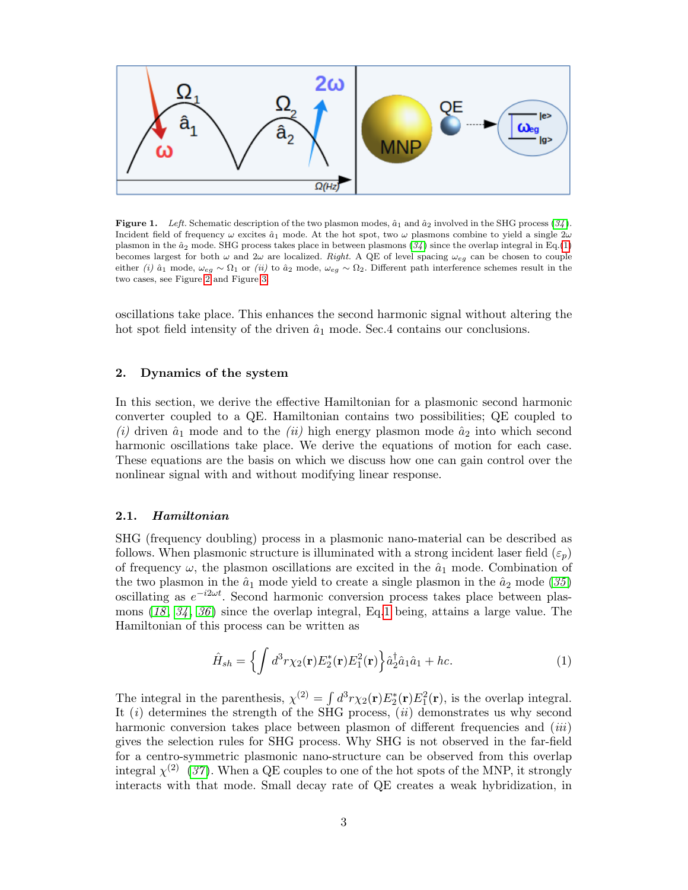

<span id="page-2-0"></span>**Figure 1.** Left. Schematic description of the two plasmon modes,  $\hat{a}_1$  and  $\hat{a}_2$  involved in the SHG process ([34](#page-9-10)). Incident field of frequency  $\omega$  excites  $\hat{a}_1$  mode. At the hot spot, two  $\omega$  plasmons combine to yield a single  $2\omega$ plasmon in the  $\hat{a}_2$  mode. SHG process takes place in between plasmons ([34](#page-9-10)) since the overlap integral in Eq.[\(1\)](#page-2-1) becomes largest for both  $\omega$  and  $2\omega$  are localized. Right. A QE of level spacing  $\omega_{eg}$  can be chosen to couple either (i)  $\hat{a}_1$  mode,  $\omega_{eg} \sim \Omega_1$  or (ii) to  $\hat{a}_2$  mode,  $\omega_{eg} \sim \Omega_2$ . Different path interference schemes result in the two cases, see Figure [2](#page-5-0) and Figure [3.](#page-6-0)

oscillations take place. This enhances the second harmonic signal without altering the hot spot field intensity of the driven  $\hat{a}_1$  mode. Sec.4 contains our conclusions.

### 2. Dynamics of the system

In this section, we derive the effective Hamiltonian for a plasmonic second harmonic converter coupled to a QE. Hamiltonian contains two possibilities; QE coupled to (i) driven  $\hat{a}_1$  mode and to the (ii) high energy plasmon mode  $\hat{a}_2$  into which second harmonic oscillations take place. We derive the equations of motion for each case. These equations are the basis on which we discuss how one can gain control over the nonlinear signal with and without modifying linear response.

#### 2.1. Hamiltonian

SHG (frequency doubling) process in a plasmonic nano-material can be described as follows. When plasmonic structure is illuminated with a strong incident laser field  $(\varepsilon_p)$ of frequency  $\omega$ , the plasmon oscillations are excited in the  $\hat{a}_1$  mode. Combination of the two plasmon in the  $\hat{a}_1$  mode yield to create a single plasmon in the  $\hat{a}_2$  mode ([35](#page-9-11)) oscillating as  $e^{-i2\omega t}$ . Second harmonic conversion process takes place between plasmons  $(18, 34, 36)$  $(18, 34, 36)$  $(18, 34, 36)$  $(18, 34, 36)$  $(18, 34, 36)$  $(18, 34, 36)$  $(18, 34, 36)$  since the overlap integral, Eq[.1](#page-2-1) being, attains a large value. The Hamiltonian of this process can be written as

<span id="page-2-1"></span>
$$
\hat{H}_{sh} = \left\{ \int d^3 r \chi_2(\mathbf{r}) E_2^*(\mathbf{r}) E_1^2(\mathbf{r}) \right\} \hat{a}_2^\dagger \hat{a}_1 \hat{a}_1 + hc. \tag{1}
$$

The integral in the parenthesis,  $\chi^{(2)} = \int d^3r \chi_2(\mathbf{r}) E_2^*(\mathbf{r}) E_1^2(\mathbf{r})$ , is the overlap integral. It  $(i)$  determines the strength of the SHG process,  $(ii)$  demonstrates us why second harmonic conversion takes place between plasmon of different frequencies and *(iii)* gives the selection rules for SHG process. Why SHG is not observed in the far-field for a centro-symmetric plasmonic nano-structure can be observed from this overlap integral  $\chi^{(2)}$  ([37](#page-9-13)). When a QE couples to one of the hot spots of the MNP, it strongly interacts with that mode. Small decay rate of QE creates a weak hybridization, in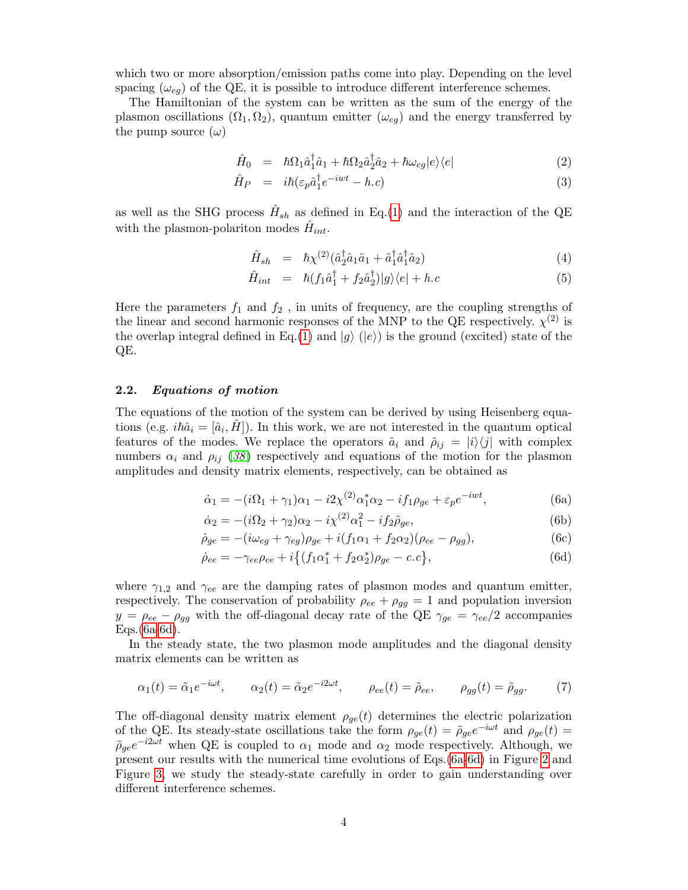which two or more absorption/emission paths come into play. Depending on the level spacing ( $\omega_{eq}$ ) of the QE, it is possible to introduce different interference schemes.

The Hamiltonian of the system can be written as the sum of the energy of the plasmon oscillations  $(\Omega_1, \Omega_2)$ , quantum emitter  $(\omega_{eq})$  and the energy transferred by the pump source  $(\omega)$ 

$$
\hat{H}_0 = \hbar\Omega_1 \hat{a}_1^{\dagger} \hat{a}_1 + \hbar\Omega_2 \hat{a}_2^{\dagger} \hat{a}_2 + \hbar\omega_{eg} |e\rangle\langle e| \tag{2}
$$

$$
\hat{H}_P = i\hbar(\varepsilon_p \hat{a}_1^\dagger e^{-iwt} - h.c) \tag{3}
$$

as well as the SHG process  $\hat{H}_{sh}$  as defined in Eq.[\(1\)](#page-2-1) and the interaction of the QE with the plasmon-polariton modes  $\hat{H}_{int}$ .

$$
\hat{H}_{sh} = \hbar \chi^{(2)} (\hat{a}_2^{\dagger} \hat{a}_1 \hat{a}_1 + \hat{a}_1^{\dagger} \hat{a}_1^{\dagger} \hat{a}_2) \tag{4}
$$

$$
\hat{H}_{int} = \hbar (f_1 \hat{a}_1^{\dagger} + f_2 \hat{a}_2^{\dagger}) |g\rangle \langle e| + h.c \tag{5}
$$

Here the parameters  $f_1$  and  $f_2$ , in units of frequency, are the coupling strengths of the linear and second harmonic responses of the MNP to the QE respectively.  $\chi^{(2)}$  is the overlap integral defined in Eq.[\(1\)](#page-2-1) and  $|q\rangle$  ( $|e\rangle$ ) is the ground (excited) state of the QE.

## 2.2. Equations of motion

The equations of the motion of the system can be derived by using Heisenberg equations (e.g.  $i\hbar\hat{a}_i = [\hat{a}_i, \hat{H}]$ ). In this work, we are not interested in the quantum optical features of the modes. We replace the operators  $\hat{a}_i$  and  $\hat{\rho}_{ij} = |i\rangle\langle j|$  with complex numbers  $\alpha_i$  and  $\rho_{ij}$  ([38](#page-9-14)) respectively and equations of the motion for the plasmon amplitudes and density matrix elements, respectively, can be obtained as

<span id="page-3-3"></span><span id="page-3-1"></span><span id="page-3-0"></span>
$$
\dot{\alpha}_1 = -(i\Omega_1 + \gamma_1)\alpha_1 - i2\chi^{(2)}\alpha_1^*\alpha_2 - if_1\rho_{ge} + \varepsilon_p e^{-iwt},\tag{6a}
$$

$$
\dot{\alpha}_2 = -(i\Omega_2 + \gamma_2)\alpha_2 - i\chi^{(2)}\alpha_1^2 - if_2\tilde{\rho}_{ge},\tag{6b}
$$

$$
\dot{\rho}_{ge} = -(i\omega_{eg} + \gamma_{eg})\rho_{ge} + i(f_1\alpha_1 + f_2\alpha_2)(\rho_{ee} - \rho_{gg}),
$$
\n(6c)

$$
\dot{\rho}_{ee} = -\gamma_{ee}\rho_{ee} + i\{(f_1\alpha_1^* + f_2\alpha_2^*)\rho_{ge} - c.c\},\tag{6d}
$$

where  $\gamma_{1,2}$  and  $\gamma_{ee}$  are the damping rates of plasmon modes and quantum emitter, respectively. The conservation of probability  $\rho_{ee} + \rho_{gg} = 1$  and population inversion  $y = \rho_{ee} - \rho_{gg}$  with the off-diagonal decay rate of the QE  $\gamma_{ge} = \gamma_{ee}/2$  accompanies Eqs.[\(6a](#page-3-0)[-6d\)](#page-3-1).

In the steady state, the two plasmon mode amplitudes and the diagonal density matrix elements can be written as

<span id="page-3-2"></span>
$$
\alpha_1(t) = \tilde{\alpha}_1 e^{-i\omega t}, \qquad \alpha_2(t) = \tilde{\alpha}_2 e^{-i2\omega t}, \qquad \rho_{ee}(t) = \tilde{\rho}_{ee}, \qquad \rho_{gg}(t) = \tilde{\rho}_{gg}. \tag{7}
$$

The off-diagonal density matrix element  $\rho_{ge}(t)$  determines the electric polarization of the QE. Its steady-state oscillations take the form  $\rho_{ge}(t) = \tilde{\rho}_{ge}e^{-i\omega t}$  and  $\rho_{ge}(t) =$  $\tilde{\rho}_{ge}e^{-i2\omega t}$  when QE is coupled to  $\alpha_1$  mode and  $\alpha_2$  mode respectively. Although, we present our results with the numerical time evolutions of Eqs.[\(6a-](#page-3-0)[6d\)](#page-3-1) in Figure [2](#page-5-0) and Figure [3,](#page-6-0) we study the steady-state carefully in order to gain understanding over different interference schemes.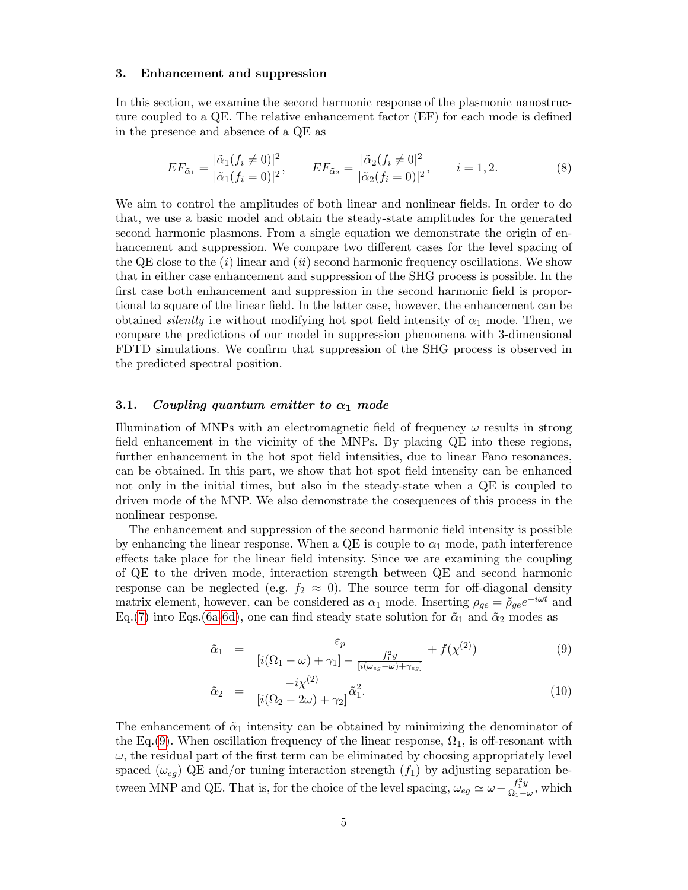#### 3. Enhancement and suppression

In this section, we examine the second harmonic response of the plasmonic nanostructure coupled to a QE. The relative enhancement factor (EF) for each mode is defined in the presence and absence of a QE as

<span id="page-4-1"></span>
$$
EF_{\tilde{\alpha}_1} = \frac{|\tilde{\alpha}_1(f_i \neq 0)|^2}{|\tilde{\alpha}_1(f_i = 0)|^2}, \qquad EF_{\tilde{\alpha}_2} = \frac{|\tilde{\alpha}_2(f_i \neq 0)|^2}{|\tilde{\alpha}_2(f_i = 0)|^2}, \qquad i = 1, 2.
$$
 (8)

We aim to control the amplitudes of both linear and nonlinear fields. In order to do that, we use a basic model and obtain the steady-state amplitudes for the generated second harmonic plasmons. From a single equation we demonstrate the origin of enhancement and suppression. We compare two different cases for the level spacing of the QE close to the  $(i)$  linear and  $(ii)$  second harmonic frequency oscillations. We show that in either case enhancement and suppression of the SHG process is possible. In the first case both enhancement and suppression in the second harmonic field is proportional to square of the linear field. In the latter case, however, the enhancement can be obtained *silently* i.e without modifying hot spot field intensity of  $\alpha_1$  mode. Then, we compare the predictions of our model in suppression phenomena with 3-dimensional FDTD simulations. We confirm that suppression of the SHG process is observed in the predicted spectral position.

#### 3.1. Coupling quantum emitter to  $\alpha_1$  mode

Illumination of MNPs with an electromagnetic field of frequency  $\omega$  results in strong field enhancement in the vicinity of the MNPs. By placing QE into these regions, further enhancement in the hot spot field intensities, due to linear Fano resonances, can be obtained. In this part, we show that hot spot field intensity can be enhanced not only in the initial times, but also in the steady-state when a QE is coupled to driven mode of the MNP. We also demonstrate the cosequences of this process in the nonlinear response.

The enhancement and suppression of the second harmonic field intensity is possible by enhancing the linear response. When a  $QE$  is couple to  $\alpha_1$  mode, path interference effects take place for the linear field intensity. Since we are examining the coupling of QE to the driven mode, interaction strength between QE and second harmonic response can be neglected (e.g.  $f_2 \approx 0$ ). The source term for off-diagonal density matrix element, however, can be considered as  $\alpha_1$  mode. Inserting  $\rho_{ge} = \tilde{\rho}_{ge} e^{-i\omega t}$  and Eq.[\(7\)](#page-3-2) into Eqs.[\(6a](#page-3-0)[-6d\)](#page-3-1), one can find steady state solution for  $\tilde{\alpha}_1$  and  $\tilde{\alpha}_2$  modes as

<span id="page-4-0"></span>
$$
\tilde{\alpha}_1 = \frac{\varepsilon_p}{\left[i(\Omega_1 - \omega) + \gamma_1\right] - \frac{f_1^2 y}{\left[i(\omega_{eg} - \omega) + \gamma_{eg}\right]}} + f(\chi^{(2)})\tag{9}
$$

$$
\tilde{\alpha}_2 = \frac{-i\chi^{(2)}}{[i(\Omega_2 - 2\omega) + \gamma_2]} \tilde{\alpha}_1^2.
$$
\n(10)

The enhancement of  $\tilde{\alpha}_1$  intensity can be obtained by minimizing the denominator of the Eq.[\(9\)](#page-4-0). When oscillation frequency of the linear response,  $\Omega_1$ , is off-resonant with  $\omega$ , the residual part of the first term can be eliminated by choosing appropriately level spaced  $(\omega_{eg})$  QE and/or tuning interaction strength  $(f_1)$  by adjusting separation between MNP and QE. That is, for the choice of the level spacing,  $\omega_{eg} \simeq \omega - \frac{f_1^2 y}{\Omega_{1y}}$  $\frac{J_1 y}{\Omega_1 - \omega}$ , which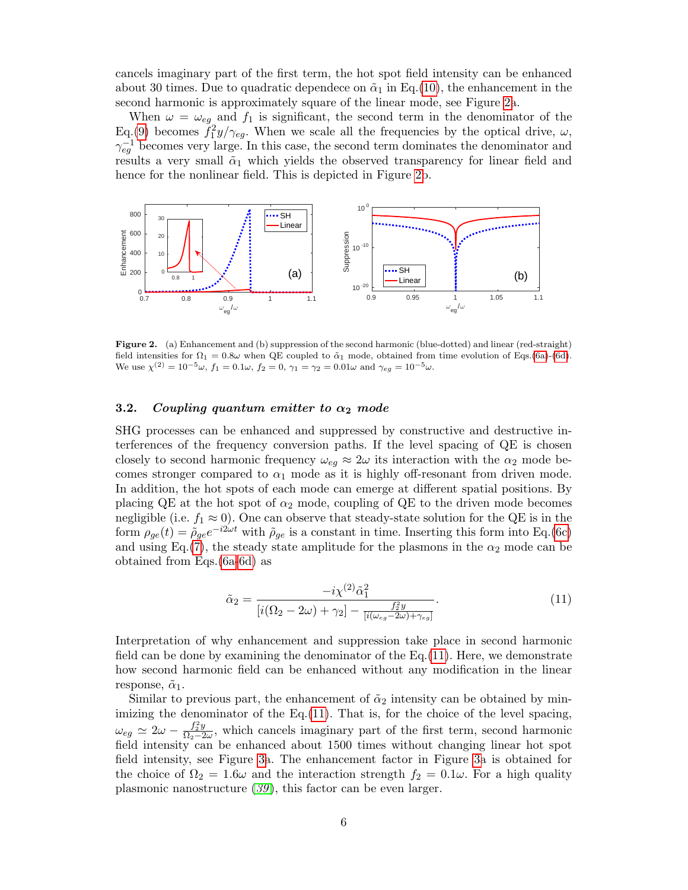cancels imaginary part of the first term, the hot spot field intensity can be enhanced about 30 times. Due to quadratic dependece on  $\tilde{\alpha}_1$  in Eq.[\(10\)](#page-4-0), the enhancement in the second harmonic is approximately square of the linear mode, see Figure [2a](#page-5-0).

When  $\omega = \omega_{eg}$  and  $f_1$  is significant, the second term in the denominator of the Eq.[\(9\)](#page-4-0) becomes  $\tilde{f}_1^2 y/\gamma_{eg}$ . When we scale all the frequencies by the optical drive,  $\omega$ ,  $\gamma_{eg}^{-1}$  becomes very large. In this case, the second term dominates the denominator and results a very small  $\tilde{\alpha}_1$  which yields the observed transparency for linear field and hence for the nonlinear field. This is depicted in Figure [2b](#page-5-0).



<span id="page-5-0"></span>Figure 2. (a) Enhancement and (b) suppression of the second harmonic (blue-dotted) and linear (red-straight) field intensities for  $\Omega_1 = 0.8\omega$  when QE coupled to  $\tilde{\alpha}_1$  mode, obtained from time evolution of Eqs.[\(6a\)](#page-3-0)-[\(6d\)](#page-3-1). We use  $\chi^{(2)} = 10^{-5}\omega$ ,  $f_1 = 0.1\omega$ ,  $f_2 = 0$ ,  $\gamma_1 = \gamma_2 = 0.01\omega$  and  $\gamma_{eg} = 10^{-5}\omega$ .

## 3.2. Coupling quantum emitter to  $\alpha_2$  mode

SHG processes can be enhanced and suppressed by constructive and destructive interferences of the frequency conversion paths. If the level spacing of QE is chosen closely to second harmonic frequency  $\omega_{eq} \approx 2\omega$  its interaction with the  $\alpha_2$  mode becomes stronger compared to  $\alpha_1$  mode as it is highly off-resonant from driven mode. In addition, the hot spots of each mode can emerge at different spatial positions. By placing QE at the hot spot of  $\alpha_2$  mode, coupling of QE to the driven mode becomes negligible (i.e.  $f_1 \approx 0$ ). One can observe that steady-state solution for the QE is in the form  $\rho_{ge}(t) = \tilde{\rho}_{ge} e^{-i2\omega t}$  with  $\tilde{\rho}_{ge}$  is a constant in time. Inserting this form into Eq.[\(6c\)](#page-3-3) and using Eq.[\(7\)](#page-3-2), the steady state amplitude for the plasmons in the  $\alpha_2$  mode can be obtained from Eqs.[\(6a-](#page-3-0)[6d\)](#page-3-1) as

<span id="page-5-1"></span>
$$
\tilde{\alpha}_2 = \frac{-i\chi^{(2)}\tilde{\alpha}_1^2}{[i(\Omega_2 - 2\omega) + \gamma_2] - \frac{f_2^2y}{[i(\omega_{eg} - 2\omega) + \gamma_{eg}]} }.
$$
\n(11)

Interpretation of why enhancement and suppression take place in second harmonic field can be done by examining the denominator of the  $Eq.(11)$  $Eq.(11)$ . Here, we demonstrate how second harmonic field can be enhanced without any modification in the linear response,  $\tilde{\alpha}_1$ .

Similar to previous part, the enhancement of  $\tilde{\alpha}_2$  intensity can be obtained by minimizing the denominator of the  $Eq.(11)$  $Eq.(11)$ . That is, for the choice of the level spacing,  $\omega_{eg} \simeq 2\omega - \frac{f_2^2y}{\Omega_2-2}$  $\frac{J_2 y}{\Omega_2 - 2\omega}$ , which cancels imaginary part of the first term, second harmonic field intensity can be enhanced about 1500 times without changing linear hot spot field intensity, see Figure [3a](#page-6-0). The enhancement factor in Figure [3a](#page-6-0) is obtained for the choice of  $\Omega_2 = 1.6\omega$  and the interaction strength  $f_2 = 0.1\omega$ . For a high quality plasmonic nanostructure  $(39)$  $(39)$  $(39)$ , this factor can be even larger.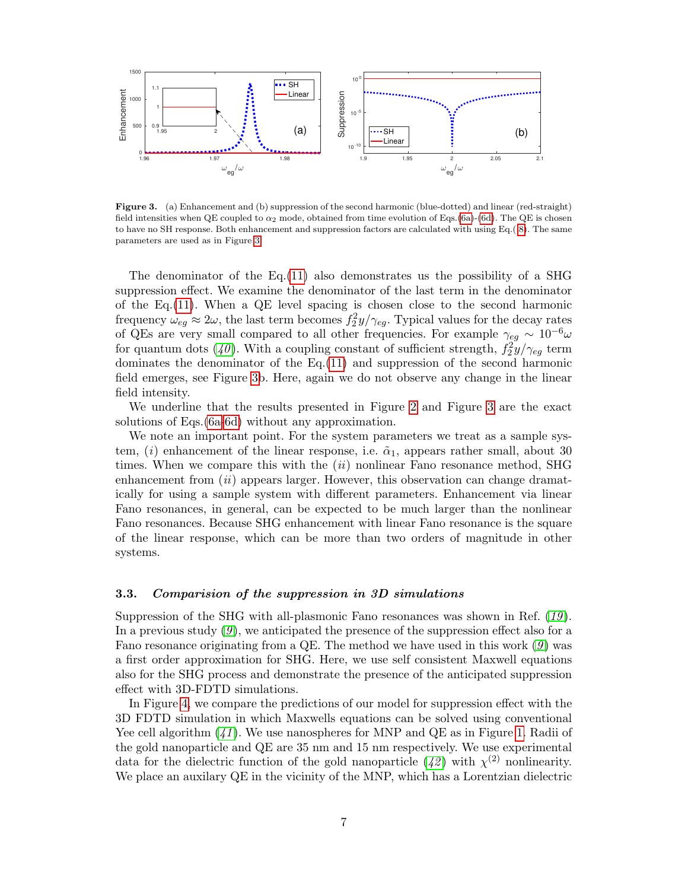

<span id="page-6-0"></span>Figure 3. (a) Enhancement and (b) suppression of the second harmonic (blue-dotted) and linear (red-straight) field intensities when QE coupled to  $\alpha_2$  mode, obtained from time evolution of Eqs.[\(6a\)](#page-3-0)-[\(6d\)](#page-3-1). The QE is chosen to have no SH response. Both enhancement and suppression factors are calculated with using Eq.( [8\)](#page-4-1). The same parameters are used as in Figure [3.](#page-6-0)

The denominator of the Eq.  $(11)$  also demonstrates us the possibility of a SHG suppression effect. We examine the denominator of the last term in the denominator of the Eq.[\(11\)](#page-5-1). When a QE level spacing is chosen close to the second harmonic frequency  $\omega_{eg} \approx 2\omega$ , the last term becomes  $f_2^2y/\gamma_{eg}$ . Typical values for the decay rates of QEs are very small compared to all other frequencies. For example  $\gamma_{eg} \sim 10^{-6} \omega$ for quantum dots ([40](#page-9-16)). With a coupling constant of sufficient strength,  $f_2^2y/\gamma_{eg}$  term dominates the denominator of the  $Eq.(11)$  $Eq.(11)$  and suppression of the second harmonic field emerges, see Figure [3b](#page-6-0). Here, again we do not observe any change in the linear field intensity.

We underline that the results presented in Figure [2](#page-5-0) and Figure [3](#page-6-0) are the exact solutions of Eqs.[\(6a](#page-3-0)[-6d\)](#page-3-1) without any approximation.

We note an important point. For the system parameters we treat as a sample system, (i) enhancement of the linear response, i.e.  $\tilde{\alpha}_1$ , appears rather small, about 30 times. When we compare this with the  $(ii)$  nonlinear Fano resonance method, SHG enhancement from *(ii)* appears larger. However, this observation can change dramatically for using a sample system with different parameters. Enhancement via linear Fano resonances, in general, can be expected to be much larger than the nonlinear Fano resonances. Because SHG enhancement with linear Fano resonance is the square of the linear response, which can be more than two orders of magnitude in other systems.

## 3.3. Comparision of the suppression in 3D simulations

Suppression of the SHG with all-plasmonic Fano resonances was shown in Ref. ([19](#page-8-18) ). In a previous study  $(9)$  $(9)$  $(9)$ , we anticipated the presence of the suppression effect also for a Fano resonance originating from a QE. The method we have used in this work  $(9)$  $(9)$  $(9)$  was a first order approximation for SHG. Here, we use self consistent Maxwell equations also for the SHG process and demonstrate the presence of the anticipated suppression effect with 3D-FDTD simulations.

In Figure [4,](#page-7-0) we compare the predictions of our model for suppression effect with the 3D FDTD simulation in which Maxwells equations can be solved using conventional Yee cell algorithm  $(41)$  $(41)$  $(41)$ . We use nanospheres for MNP and QE as in Figure [1.](#page-2-0) Radii of the gold nanoparticle and QE are 35 nm and 15 nm respectively. We use experimental data for the dielectric function of the gold nanoparticle  $(42)$  $(42)$  $(42)$  with  $\chi^{(2)}$  nonlinearity. We place an auxilary QE in the vicinity of the MNP, which has a Lorentzian dielectric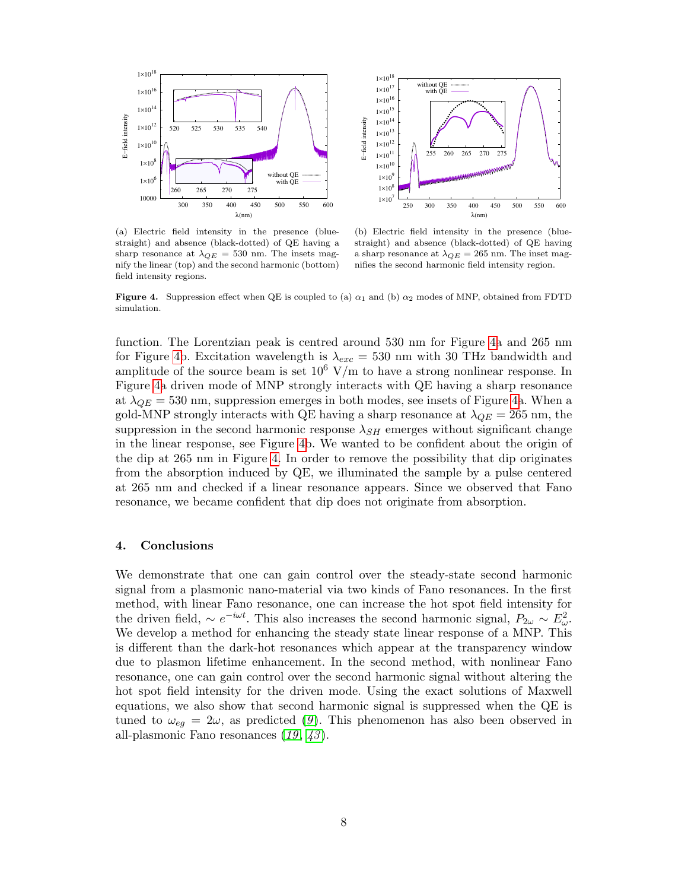

(a) Electric field intensity in the presence (bluestraight) and absence (black-dotted) of QE having a sharp resonance at  $\lambda_{QE} = 530$  nm. The insets magnify the linear (top) and the second harmonic (bottom) field intensity regions.



(b) Electric field intensity in the presence (bluestraight) and absence (black-dotted) of QE having a sharp resonance at  $\lambda_{QE} = 265$  nm. The inset magnifies the second harmonic field intensity region.

<span id="page-7-0"></span>**Figure 4.** Suppression effect when QE is coupled to (a)  $\alpha_1$  and (b)  $\alpha_2$  modes of MNP, obtained from FDTD simulation.

function. The Lorentzian peak is centred around 530 nm for Figure [4a](#page-7-0) and 265 nm for Figure [4b](#page-7-0). Excitation wavelength is  $\lambda_{exc} = 530$  nm with 30 THz bandwidth and amplitude of the source beam is set  $10^6$  V/m to have a strong nonlinear response. In Figure [4a](#page-7-0) driven mode of MNP strongly interacts with QE having a sharp resonance at  $\lambda_{QE} = 530$  nm, suppression emerges in both modes, see insets of Figure [4a](#page-7-0). When a gold-MNP strongly interacts with QE having a sharp resonance at  $\lambda_{QE} = 265$  nm, the suppression in the second harmonic response  $\lambda_{SH}$  emerges without significant change in the linear response, see Figure [4b](#page-7-0). We wanted to be confident about the origin of the dip at 265 nm in Figure [4.](#page-7-0) In order to remove the possibility that dip originates from the absorption induced by QE, we illuminated the sample by a pulse centered at 265 nm and checked if a linear resonance appears. Since we observed that Fano resonance, we became confident that dip does not originate from absorption.

#### 4. Conclusions

We demonstrate that one can gain control over the steady-state second harmonic signal from a plasmonic nano-material via two kinds of Fano resonances. In the first method, with linear Fano resonance, one can increase the hot spot field intensity for the driven field,  $\sim e^{-i\omega t}$ . This also increases the second harmonic signal,  $P_{2\omega} \sim E_{\omega}^2$ . We develop a method for enhancing the steady state linear response of a MNP. This is different than the dark-hot resonances which appear at the transparency window due to plasmon lifetime enhancement. In the second method, with nonlinear Fano resonance, one can gain control over the second harmonic signal without altering the hot spot field intensity for the driven mode. Using the exact solutions of Maxwell equations, we also show that second harmonic signal is suppressed when the QE is tuned to  $\omega_{eg} = 2\omega$ , as predicted ([9](#page-8-8)). This phenomenon has also been observed in all-plasmonic Fano resonances  $(19, 43)$  $(19, 43)$  $(19, 43)$  $(19, 43)$  $(19, 43)$ .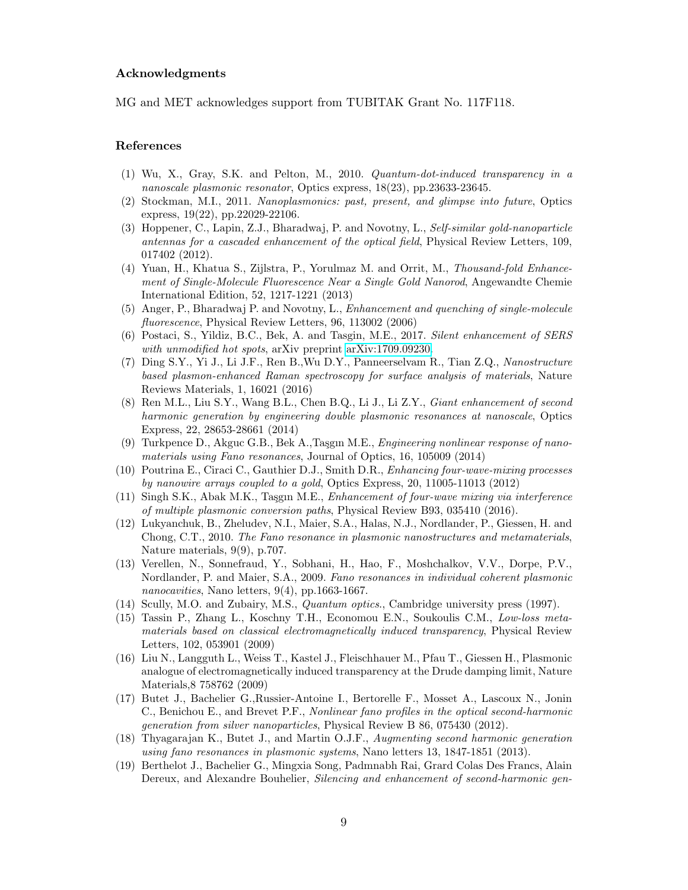## Acknowledgments

MG and MET acknowledges support from TUBITAK Grant No. 117F118.

## References

- <span id="page-8-0"></span>(1) Wu, X., Gray, S.K. and Pelton, M., 2010. Quantum-dot-induced transparency in a nanoscale plasmonic resonator, Optics express, 18(23), pp.23633-23645.
- <span id="page-8-1"></span>(2) Stockman, M.I., 2011. Nanoplasmonics: past, present, and glimpse into future, Optics express, 19(22), pp.22029-22106.
- <span id="page-8-2"></span>(3) Hoppener, C., Lapin, Z.J., Bharadwaj, P. and Novotny, L., Self-similar gold-nanoparticle antennas for a cascaded enhancement of the optical field, Physical Review Letters, 109, 017402 (2012).
- <span id="page-8-3"></span>(4) Yuan, H., Khatua S., Zijlstra, P., Yorulmaz M. and Orrit, M., Thousand-fold Enhancement of Single-Molecule Fluorescence Near a Single Gold Nanorod, Angewandte Chemie International Edition, 52, 1217-1221 (2013)
- <span id="page-8-4"></span>(5) Anger, P., Bharadwaj P. and Novotny, L., Enhancement and quenching of single-molecule fluorescence, Physical Review Letters, 96, 113002 (2006)
- <span id="page-8-5"></span>(6) Postaci, S., Yildiz, B.C., Bek, A. and Tasgin, M.E., 2017. Silent enhancement of SERS with unmodified hot spots, arXiv preprint [arXiv:1709.09230.](http://arxiv.org/abs/1709.09230)
- <span id="page-8-6"></span>(7) Ding S.Y., Yi J., Li J.F., Ren B.,Wu D.Y., Panneerselvam R., Tian Z.Q., Nanostructure based plasmon-enhanced Raman spectroscopy for surface analysis of materials, Nature Reviews Materials, 1, 16021 (2016)
- <span id="page-8-7"></span>(8) Ren M.L., Liu S.Y., Wang B.L., Chen B.Q., Li J., Li Z.Y., Giant enhancement of second harmonic generation by engineering double plasmonic resonances at nanoscale, Optics Express, 22, 28653-28661 (2014)
- <span id="page-8-8"></span>(9) Turkpence D., Akguc G.B., Bek A., Taşgın M.E., *Engineering nonlinear response of nano*materials using Fano resonances, Journal of Optics, 16, 105009 (2014)
- <span id="page-8-9"></span>(10) Poutrina E., Ciraci C., Gauthier D.J., Smith D.R., Enhancing four-wave-mixing processes by nanowire arrays coupled to a gold, Optics Express, 20, 11005-11013 (2012)
- <span id="page-8-10"></span> $(11)$  Singh S.K., Abak M.K., Taşgın M.E., Enhancement of four-wave mixing via interference of multiple plasmonic conversion paths, Physical Review B93, 035410 (2016).
- <span id="page-8-11"></span>(12) Lukyanchuk, B., Zheludev, N.I., Maier, S.A., Halas, N.J., Nordlander, P., Giessen, H. and Chong, C.T., 2010. The Fano resonance in plasmonic nanostructures and metamaterials, Nature materials, 9(9), p.707.
- <span id="page-8-12"></span>(13) Verellen, N., Sonnefraud, Y., Sobhani, H., Hao, F., Moshchalkov, V.V., Dorpe, P.V., Nordlander, P. and Maier, S.A., 2009. Fano resonances in individual coherent plasmonic nanocavities, Nano letters, 9(4), pp.1663-1667.
- <span id="page-8-13"></span>(14) Scully, M.O. and Zubairy, M.S., Quantum optics., Cambridge university press (1997).
- <span id="page-8-14"></span>(15) Tassin P., Zhang L., Koschny T.H., Economou E.N., Soukoulis C.M., Low-loss metamaterials based on classical electromagnetically induced transparency, Physical Review Letters, 102, 053901 (2009)
- <span id="page-8-15"></span>(16) Liu N., Langguth L., Weiss T., Kastel J., Fleischhauer M., Pfau T., Giessen H., Plasmonic analogue of electromagnetically induced transparency at the Drude damping limit, Nature Materials,8 758762 (2009)
- <span id="page-8-16"></span>(17) Butet J., Bachelier G.,Russier-Antoine I., Bertorelle F., Mosset A., Lascoux N., Jonin C., Benichou E., and Brevet P.F., Nonlinear fano profiles in the optical second-harmonic generation from silver nanoparticles, Physical Review B 86, 075430 (2012).
- <span id="page-8-17"></span>(18) Thyagarajan K., Butet J., and Martin O.J.F., Augmenting second harmonic generation using fano resonances in plasmonic systems, Nano letters 13, 1847-1851 (2013).
- <span id="page-8-18"></span>(19) Berthelot J., Bachelier G., Mingxia Song, Padmnabh Rai, Grard Colas Des Francs, Alain Dereux, and Alexandre Bouhelier, *Silencing and enhancement of second-harmonic gen*-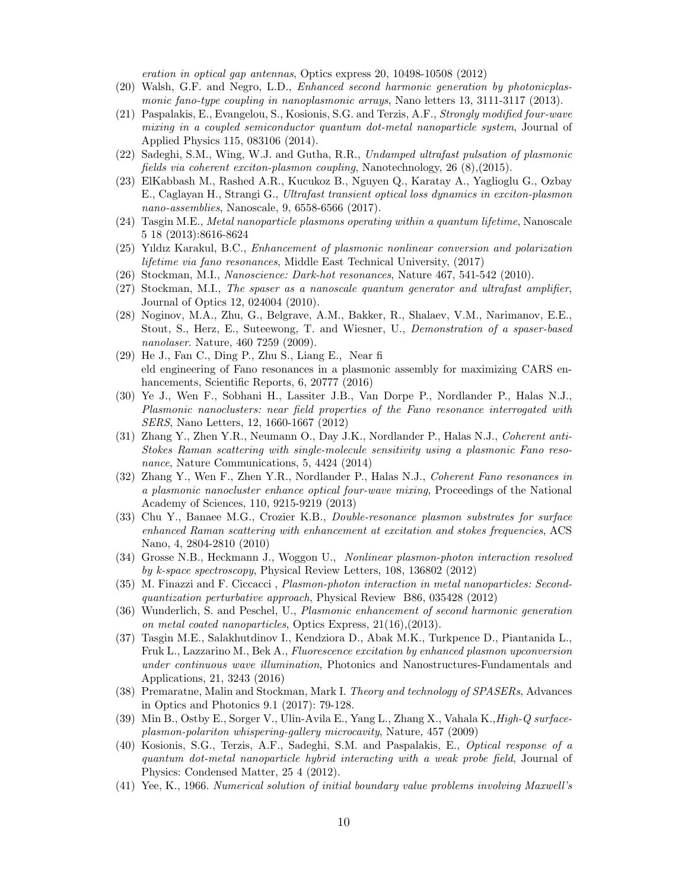eration in optical gap antennas, Optics express 20, 10498-10508 (2012)

- (20) Walsh, G.F. and Negro, L.D., Enhanced second harmonic generation by photonicplasmonic fano-type coupling in nanoplasmonic arrays, Nano letters 13, 3111-3117 (2013).
- <span id="page-9-0"></span>(21) Paspalakis, E., Evangelou, S., Kosionis, S.G. and Terzis, A.F., Strongly modified four-wave mixing in a coupled semiconductor quantum dot-metal nanoparticle system, Journal of Applied Physics 115, 083106 (2014).
- <span id="page-9-1"></span>(22) Sadeghi, S.M., Wing, W.J. and Gutha, R.R., Undamped ultrafast pulsation of plasmonic fields via coherent exciton-plasmon coupling, Nanotechnology, 26 (8),(2015).
- (23) ElKabbash M., Rashed A.R., Kucukoz B., Nguyen Q., Karatay A., Yaglioglu G., Ozbay E., Caglayan H., Strangi G., Ultrafast transient optical loss dynamics in exciton-plasmon nano-assemblies, Nanoscale, 9, 6558-6566 (2017).
- (24) Tasgin M.E., Metal nanoparticle plasmons operating within a quantum lifetime, Nanoscale 5 18 (2013):8616-8624
- <span id="page-9-2"></span>(25) Yıldız Karakul, B.C., Enhancement of plasmonic nonlinear conversion and polarization lifetime via fano resonances, Middle East Technical University, (2017)
- <span id="page-9-3"></span>(26) Stockman, M.I., Nanoscience: Dark-hot resonances, Nature 467, 541-542 (2010).
- <span id="page-9-4"></span>(27) Stockman, M.I., The spaser as a nanoscale quantum generator and ultrafast amplifier, Journal of Optics 12, 024004 (2010).
- <span id="page-9-5"></span>(28) Noginov, M.A., Zhu, G., Belgrave, A.M., Bakker, R., Shalaev, V.M., Narimanov, E.E., Stout, S., Herz, E., Suteewong, T. and Wiesner, U., Demonstration of a spaser-based nanolaser. Nature, 460 7259 (2009).
- <span id="page-9-6"></span>(29) He J., Fan C., Ding P., Zhu S., Liang E., Near fi eld engineering of Fano resonances in a plasmonic assembly for maximizing CARS enhancements, Scientific Reports, 6, 20777 (2016)
- (30) Ye J., Wen F., Sobhani H., Lassiter J.B., Van Dorpe P., Nordlander P., Halas N.J., Plasmonic nanoclusters: near field properties of the Fano resonance interrogated with SERS, Nano Letters, 12, 1660-1667 (2012)
- <span id="page-9-7"></span>(31) Zhang Y., Zhen Y.R., Neumann O., Day J.K., Nordlander P., Halas N.J., Coherent anti-Stokes Raman scattering with single-molecule sensitivity using a plasmonic Fano resonance, Nature Communications, 5, 4424 (2014)
- <span id="page-9-8"></span>(32) Zhang Y., Wen F., Zhen Y.R., Nordlander P., Halas N.J., Coherent Fano resonances in a plasmonic nanocluster enhance optical four-wave mixing, Proceedings of the National Academy of Sciences, 110, 9215-9219 (2013)
- <span id="page-9-9"></span>(33) Chu Y., Banaee M.G., Crozier K.B., Double-resonance plasmon substrates for surface enhanced Raman scattering with enhancement at excitation and stokes frequencies, ACS Nano, 4, 2804-2810 (2010)
- <span id="page-9-10"></span>(34) Grosse N.B., Heckmann J., Woggon U., Nonlinear plasmon-photon interaction resolved by k-space spectroscopy, Physical Review Letters, 108, 136802 (2012)
- <span id="page-9-11"></span>(35) M. Finazzi and F. Ciccacci , Plasmon-photon interaction in metal nanoparticles: Secondquantization perturbative approach, Physical Review B86, 035428 (2012)
- <span id="page-9-12"></span>(36) Wunderlich, S. and Peschel, U., Plasmonic enhancement of second harmonic generation on metal coated nanoparticles, Optics Express, 21(16),(2013).
- <span id="page-9-13"></span>(37) Tasgin M.E., Salakhutdinov I., Kendziora D., Abak M.K., Turkpence D., Piantanida L., Fruk L., Lazzarino M., Bek A., Fluorescence excitation by enhanced plasmon upconversion under continuous wave illumination, Photonics and Nanostructures-Fundamentals and Applications, 21, 3243 (2016)
- <span id="page-9-14"></span>(38) Premaratne, Malin and Stockman, Mark I. Theory and technology of SPASERs, Advances in Optics and Photonics 9.1 (2017): 79-128.
- <span id="page-9-15"></span>(39) Min B., Ostby E., Sorger V., Ulin-Avila E., Yang L., Zhang X., Vahala K.,High-Q surfaceplasmon-polariton whispering-gallery microcavity, Nature, 457 (2009)
- <span id="page-9-16"></span>(40) Kosionis, S.G., Terzis, A.F., Sadeghi, S.M. and Paspalakis, E., Optical response of a quantum dot-metal nanoparticle hybrid interacting with a weak probe field, Journal of Physics: Condensed Matter, 25 4 (2012).
- <span id="page-9-17"></span>(41) Yee, K., 1966. Numerical solution of initial boundary value problems involving Maxwell's